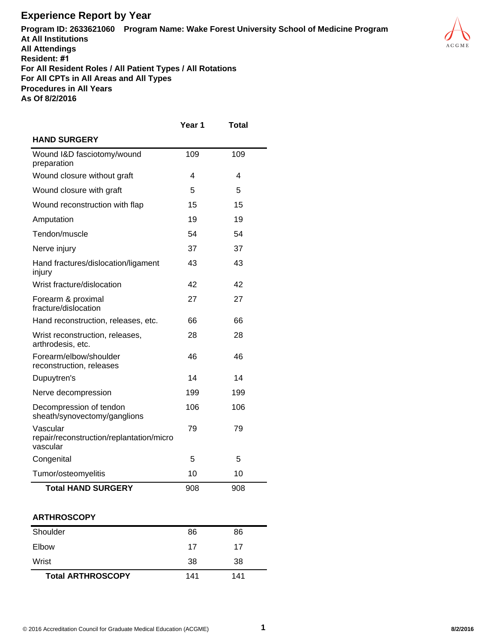## **Experience Report by Year**

**HAND SURGERY**

**Program ID: 2633621060 Program Name: Wake Forest University School of Medicine Program At All Institutions All Attendings Resident: #1 For All Resident Roles / All Patient Types / All Rotations For All CPTs in All Areas and All Types Procedures in All Years As Of 8/2/2016**

**Year 1 Total**



**Total HAND SURGERY** 908 908

Shoulder 86 86 86 Elbow 17 17 Wrist 38 38 **Total ARTHROSCOPY** 141 141

**ARTHROSCOPY**